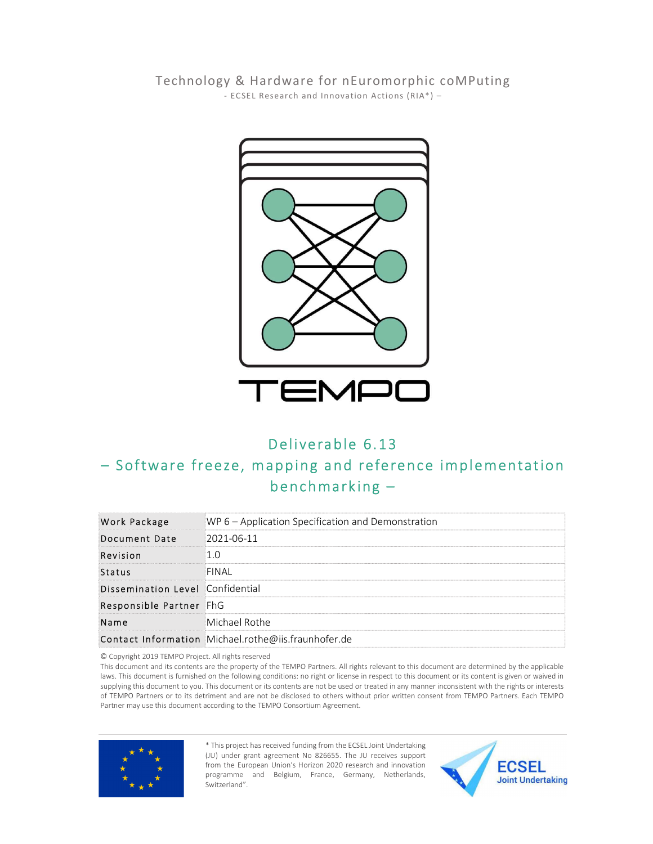Technology & Hardware for nEuromorphic coMPuting - ECSEL Research and Innovation Actions  $(RIA^*)$  -



## Deliverable 6.13

## - Software freeze, mapping and reference implementation  $benchmarking -$

| Work Package                     | WP 6 – Application Specification and Demonstration  |
|----------------------------------|-----------------------------------------------------|
| Document Date                    | 2021-06-11                                          |
| Revision                         | 1.0                                                 |
| Status                           | FINAL                                               |
| Dissemination Level Confidential |                                                     |
| Responsible Partner FhG          |                                                     |
| Name                             | Michael Rothe                                       |
|                                  | Contact Information Michael.rothe@iis.fraunhofer.de |

© Copyright 2019 TEMPO Project. All rights reserved

This document and its contents are the property of the TEMPO Partners. All rights relevant to this document are determined by the applicable laws. This document is furnished on the following conditions: no right or license in respect to this document or its content is given or waived in supplying this document to you. This document or its contents are not be used or treated in any manner inconsistent with the rights or interests of TEMPO Partners or to its detriment and are not be disclosed to others without prior written consent from TEMPO Partners. Each TEMPO Partner may use this document according to the TEMPO Consortium Agreement.



\* This project has received funding from the ECSEL Joint Undertaking (JU) under grant agreement No 826655. The JU receives support from the European Union's Horizon 2020 research and innovation programme and Belgium, France, Germany, Netherlands, Switzerland".